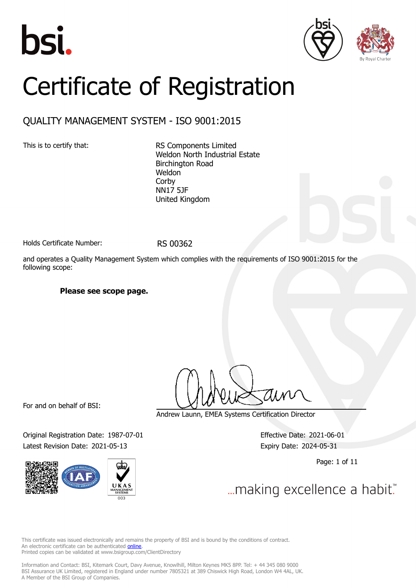





# Certificate of Registration

### QUALITY MANAGEMENT SYSTEM - ISO 9001:2015

This is to certify that: RS Components Limited Weldon North Industrial Estate Birchington Road Weldon Corby NN17 5JF United Kingdom

Holds Certificate Number: RS 00362

and operates a Quality Management System which complies with the requirements of ISO 9001:2015 for the following scope:

#### **Please see scope page.**

For and on behalf of BSI:

Original Registration Date: 1987-07-01 Effective Date: 2021-06-01 Latest Revision Date: 2021-05-13 Expiry Date: 2024-05-31



Andrew Launn, EMEA Systems Certification Director

Page: 1 of 11

... making excellence a habit."

This certificate was issued electronically and remains the property of BSI and is bound by the conditions of contract. An electronic certificate can be authenticated **[online](https://pgplus.bsigroup.com/CertificateValidation/CertificateValidator.aspx?CertificateNumber=RS+00362&ReIssueDate=13%2f05%2f2021&Template=uk)**. Printed copies can be validated at www.bsigroup.com/ClientDirectory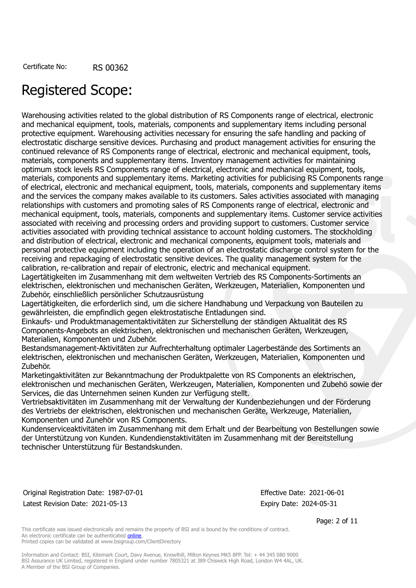## Registered Scope:

Warehousing activities related to the global distribution of RS Components range of electrical, electronic and mechanical equipment, tools, materials, components and supplementary items including personal protective equipment. Warehousing activities necessary for ensuring the safe handling and packing of electrostatic discharge sensitive devices. Purchasing and product management activities for ensuring the continued relevance of RS Components range of electrical, electronic and mechanical equipment, tools, materials, components and supplementary items. Inventory management activities for maintaining optimum stock levels RS Components range of electrical, electronic and mechanical equipment, tools, materials, components and supplementary items. Marketing activities for publicising RS Components range of electrical, electronic and mechanical equipment, tools, materials, components and supplementary items and the services the company makes available to its customers. Sales activities associated with managing relationships with customers and promoting sales of RS Components range of electrical, electronic and mechanical equipment, tools, materials, components and supplementary items. Customer service activities associated with receiving and processing orders and providing support to customers. Customer service activities associated with providing technical assistance to account holding customers. The stockholding and distribution of electrical, electronic and mechanical components, equipment tools, materials and personal protective equipment including the operation of an electrostatic discharge control system for the receiving and repackaging of electrostatic sensitive devices. The quality management system for the calibration, re-calibration and repair of electronic, electric and mechanical equipment.

Lagertätigkeiten im Zusammenhang mit dem weltweiten Vertrieb des RS Components-Sortiments an elektrischen, elektronischen und mechanischen Geräten, Werkzeugen, Materialien, Komponenten und Zubehör, einschließlich persönlicher Schutzausrüstung

Lagertätigkeiten, die erforderlich sind, um die sichere Handhabung und Verpackung von Bauteilen zu gewährleisten, die empfindlich gegen elektrostatische Entladungen sind.

Einkaufs- und Produktmanagementaktivitäten zur Sicherstellung der ständigen Aktualität des RS Components-Angebots an elektrischen, elektronischen und mechanischen Geräten, Werkzeugen, Materialien, Komponenten und Zubehör.

Bestandsmanagement-Aktivitäten zur Aufrechterhaltung optimaler Lagerbestände des Sortiments an elektrischen, elektronischen und mechanischen Geräten, Werkzeugen, Materialien, Komponenten und Zubehör.

Marketingaktivitäten zur Bekanntmachung der Produktpalette von RS Components an elektrischen, elektronischen und mechanischen Geräten, Werkzeugen, Materialien, Komponenten und Zubehö sowie der Services, die das Unternehmen seinen Kunden zur Verfügung stellt.

Vertriebsaktivitäten im Zusammenhang mit der Verwaltung der Kundenbeziehungen und der Förderung des Vertriebs der elektrischen, elektronischen und mechanischen Geräte, Werkzeuge, Materialien, Komponenten und Zunehör von RS Components.

Kundenserviceaktivitäten im Zusammenhang mit dem Erhalt und der Bearbeitung von Bestellungen sowie der Unterstützung von Kunden. Kundendienstaktivitäten im Zusammenhang mit der Bereitstellung technischer Unterstützung für Bestandskunden.

Original Registration Date: 1987-07-01 Effective Date: 2021-06-01 Latest Revision Date: 2021-05-13 Expiry Date: 2024-05-31

Page: 2 of 11

This certificate was issued electronically and remains the property of BSI and is bound by the conditions of contract. An electronic certificate can be authenticated [online](https://pgplus.bsigroup.com/CertificateValidation/CertificateValidator.aspx?CertificateNumber=RS+00362&ReIssueDate=13%2f05%2f2021&Template=uk). Printed copies can be validated at www.bsigroup.com/ClientDirectory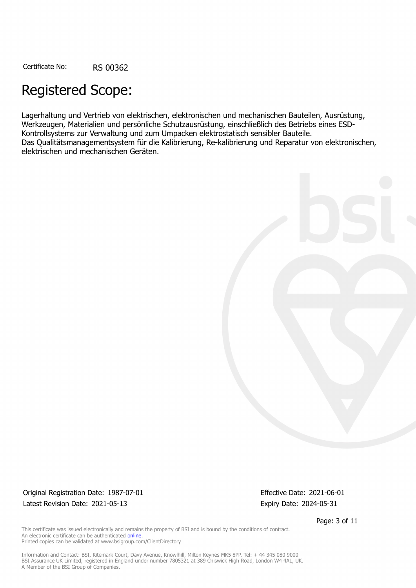## Registered Scope:

Lagerhaltung und Vertrieb von elektrischen, elektronischen und mechanischen Bauteilen, Ausrüstung, Werkzeugen, Materialien und persönliche Schutzausrüstung, einschließlich des Betriebs eines ESD-Kontrollsystems zur Verwaltung und zum Umpacken elektrostatisch sensibler Bauteile. Das Qualitätsmanagementsystem für die Kalibrierung, Re-kalibrierung und Reparatur von elektronischen, elektrischen und mechanischen Geräten.



Original Registration Date: 1987-07-01 Effective Date: 2021-06-01 Latest Revision Date: 2021-05-13 Expiry Date: 2024-05-31

Page: 3 of 11

This certificate was issued electronically and remains the property of BSI and is bound by the conditions of contract. An electronic certificate can be authenticated **[online](https://pgplus.bsigroup.com/CertificateValidation/CertificateValidator.aspx?CertificateNumber=RS+00362&ReIssueDate=13%2f05%2f2021&Template=uk)**. Printed copies can be validated at www.bsigroup.com/ClientDirectory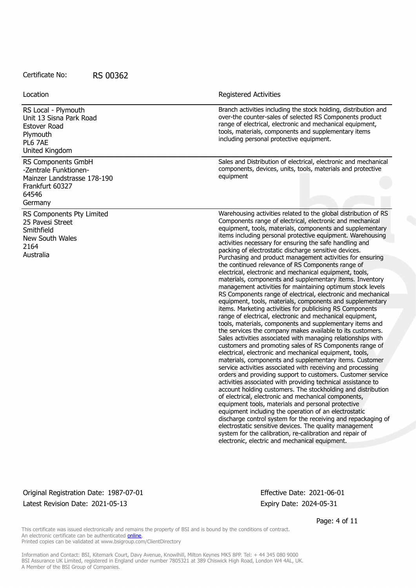RS Local - Plymouth Unit 13 Sisna Park Road Estover Road Plymouth PL6 7AE United Kingdom

RS Components GmbH -Zentrale Funktionen-Mainzer Landstrasse 178-190 Frankfurt 60327 64546 Germany

RS Components Pty Limited 25 Pavesi Street **Smithfield** New South Wales 2164 Australia

Location **Exercise 2018 Location Registered Activities** 

Branch activities including the stock holding, distribution and over-the counter-sales of selected RS Components product range of electrical, electronic and mechanical equipment, tools, materials, components and supplementary items including personal protective equipment.

Sales and Distribution of electrical, electronic and mechanical components, devices, units, tools, materials and protective equipment

Warehousing activities related to the global distribution of RS Components range of electrical, electronic and mechanical equipment, tools, materials, components and supplementary items including personal protective equipment. Warehousing activities necessary for ensuring the safe handling and packing of electrostatic discharge sensitive devices. Purchasing and product management activities for ensuring the continued relevance of RS Components range of electrical, electronic and mechanical equipment, tools, materials, components and supplementary items. Inventory management activities for maintaining optimum stock levels RS Components range of electrical, electronic and mechanical equipment, tools, materials, components and supplementary items. Marketing activities for publicising RS Components range of electrical, electronic and mechanical equipment, tools, materials, components and supplementary items and the services the company makes available to its customers. Sales activities associated with managing relationships with customers and promoting sales of RS Components range of electrical, electronic and mechanical equipment, tools, materials, components and supplementary items. Customer service activities associated with receiving and processing orders and providing support to customers. Customer service activities associated with providing technical assistance to account holding customers. The stockholding and distribution of electrical, electronic and mechanical components, equipment tools, materials and personal protective equipment including the operation of an electrostatic discharge control system for the receiving and repackaging of electrostatic sensitive devices. The quality management system for the calibration, re-calibration and repair of electronic, electric and mechanical equipment.

Original Registration Date: 1987-07-01 Effective Date: 2021-06-01 Latest Revision Date: 2021-05-13 Expiry Date: 2024-05-31

Page: 4 of 11

This certificate was issued electronically and remains the property of BSI and is bound by the conditions of contract. An electronic certificate can be authenticated [online](https://pgplus.bsigroup.com/CertificateValidation/CertificateValidator.aspx?CertificateNumber=RS+00362&ReIssueDate=13%2f05%2f2021&Template=uk). Printed copies can be validated at www.bsigroup.com/ClientDirectory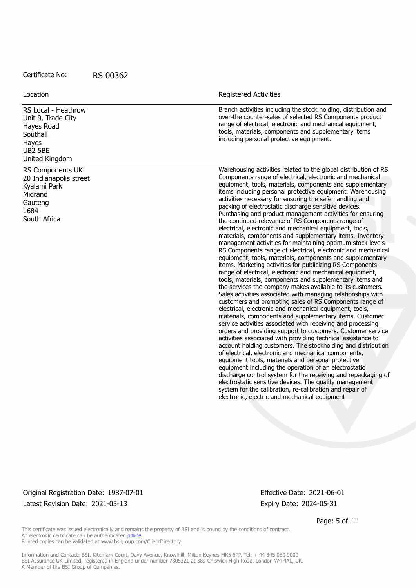RS Local - Heathrow Unit 9, Trade City Hayes Road **Southall** Hayes UB2 5BE

Location **Exercise 2018 Location Registered Activities** 

Branch activities including the stock holding, distribution and over-the counter-sales of selected RS Components product range of electrical, electronic and mechanical equipment, tools, materials, components and supplementary items including personal protective equipment.

RS Components UK 20 Indianapolis street Kyalami Park **Midrand** Gauteng 1684 South Africa

United Kingdom

Warehousing activities related to the global distribution of RS Components range of electrical, electronic and mechanical equipment, tools, materials, components and supplementary items including personal protective equipment. Warehousing activities necessary for ensuring the safe handling and packing of electrostatic discharge sensitive devices. Purchasing and product management activities for ensuring the continued relevance of RS Components range of electrical, electronic and mechanical equipment, tools, materials, components and supplementary items. Inventory management activities for maintaining optimum stock levels RS Components range of electrical, electronic and mechanical equipment, tools, materials, components and supplementary items. Marketing activities for publicizing RS Components range of electrical, electronic and mechanical equipment, tools, materials, components and supplementary items and the services the company makes available to its customers. Sales activities associated with managing relationships with customers and promoting sales of RS Components range of electrical, electronic and mechanical equipment, tools, materials, components and supplementary items. Customer service activities associated with receiving and processing orders and providing support to customers. Customer service activities associated with providing technical assistance to account holding customers. The stockholding and distribution of electrical, electronic and mechanical components, equipment tools, materials and personal protective equipment including the operation of an electrostatic discharge control system for the receiving and repackaging of electrostatic sensitive devices. The quality management system for the calibration, re-calibration and repair of electronic, electric and mechanical equipment

#### Original Registration Date: 1987-07-01 Effective Date: 2021-06-01 Latest Revision Date: 2021-05-13 Expiry Date: 2024-05-31

Page: 5 of 11

This certificate was issued electronically and remains the property of BSI and is bound by the conditions of contract. An electronic certificate can be authenticated [online](https://pgplus.bsigroup.com/CertificateValidation/CertificateValidator.aspx?CertificateNumber=RS+00362&ReIssueDate=13%2f05%2f2021&Template=uk). Printed copies can be validated at www.bsigroup.com/ClientDirectory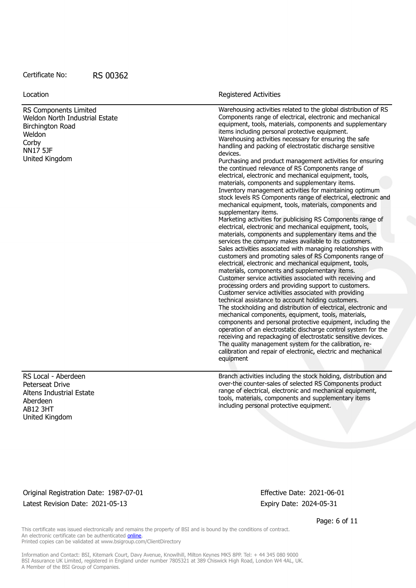RS Components Limited Weldon North Industrial Estate Birchington Road **Weldon Corby** NN17 5JF United Kingdom

RS Local - Aberdeen Peterseat Drive Altens Industrial Estate Aberdeen AB12 3HT United Kingdom

Location **Exercise 2018 Location Registered Activities** 

Warehousing activities related to the global distribution of RS Components range of electrical, electronic and mechanical equipment, tools, materials, components and supplementary items including personal protective equipment. Warehousing activities necessary for ensuring the safe handling and packing of electrostatic discharge sensitive devices. Purchasing and product management activities for ensuring the continued relevance of RS Components range of electrical, electronic and mechanical equipment, tools, materials, components and supplementary items. Inventory management activities for maintaining optimum stock levels RS Components range of electrical, electronic and mechanical equipment, tools, materials, components and supplementary items. Marketing activities for publicising RS Components range of electrical, electronic and mechanical equipment, tools, materials, components and supplementary items and the services the company makes available to its customers. Sales activities associated with managing relationships with customers and promoting sales of RS Components range of electrical, electronic and mechanical equipment, tools, materials, components and supplementary items. Customer service activities associated with receiving and processing orders and providing support to customers. Customer service activities associated with providing technical assistance to account holding customers. The stockholding and distribution of electrical, electronic and mechanical components, equipment, tools, materials, components and personal protective equipment, including the operation of an electrostatic discharge control system for the receiving and repackaging of electrostatic sensitive devices. The quality management system for the calibration, recalibration and repair of electronic, electric and mechanical equipment

Branch activities including the stock holding, distribution and over-the counter-sales of selected RS Components product range of electrical, electronic and mechanical equipment, tools, materials, components and supplementary items including personal protective equipment.

Original Registration Date: 1987-07-01 Effective Date: 2021-06-01 Latest Revision Date: 2021-05-13 Expiry Date: 2024-05-31

Page: 6 of 11

This certificate was issued electronically and remains the property of BSI and is bound by the conditions of contract. An electronic certificate can be authenticated [online](https://pgplus.bsigroup.com/CertificateValidation/CertificateValidator.aspx?CertificateNumber=RS+00362&ReIssueDate=13%2f05%2f2021&Template=uk). Printed copies can be validated at www.bsigroup.com/ClientDirectory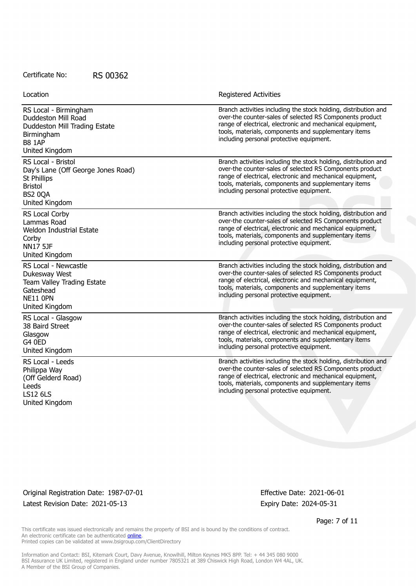| Location                                                                                                                       | <b>Registered Activities</b>                                                                                                                                                                                                                                                                 |
|--------------------------------------------------------------------------------------------------------------------------------|----------------------------------------------------------------------------------------------------------------------------------------------------------------------------------------------------------------------------------------------------------------------------------------------|
| RS Local - Birmingham<br>Duddeston Mill Road<br>Duddeston Mill Trading Estate<br>Birmingham<br><b>B8 1AP</b><br>United Kingdom | Branch activities including the stock holding, distribution and<br>over-the counter-sales of selected RS Components product<br>range of electrical, electronic and mechanical equipment,<br>tools, materials, components and supplementary items<br>including personal protective equipment. |
| RS Local - Bristol<br>Day's Lane (Off George Jones Road)<br>St Phillips<br><b>Bristol</b><br><b>BS2 0QA</b><br>United Kingdom  | Branch activities including the stock holding, distribution and<br>over-the counter-sales of selected RS Components product<br>range of electrical, electronic and mechanical equipment,<br>tools, materials, components and supplementary items<br>including personal protective equipment. |
| RS Local Corby<br>Lammas Road<br>Weldon Industrial Estate<br>Corby<br><b>NN17 5JF</b><br>United Kingdom                        | Branch activities including the stock holding, distribution and<br>over-the counter-sales of selected RS Components product<br>range of electrical, electronic and mechanical equipment,<br>tools, materials, components and supplementary items<br>including personal protective equipment. |
| RS Local - Newcastle<br>Dukesway West<br>Team Valley Trading Estate<br>Gateshead<br>NE11 OPN<br>United Kingdom                 | Branch activities including the stock holding, distribution and<br>over-the counter-sales of selected RS Components product<br>range of electrical, electronic and mechanical equipment,<br>tools, materials, components and supplementary items<br>including personal protective equipment. |
| RS Local - Glasgow<br>38 Baird Street<br>Glasgow<br>G4 0ED<br>United Kingdom                                                   | Branch activities including the stock holding, distribution and<br>over-the counter-sales of selected RS Components product<br>range of electrical, electronic and mechanical equipment,<br>tools, materials, components and supplementary items<br>including personal protective equipment. |
| RS Local - Leeds<br>Philippa Way<br>(Off Gelderd Road)<br>Leeds<br><b>LS12 6LS</b><br>United Kingdom                           | Branch activities including the stock holding, distribution and<br>over-the counter-sales of selected RS Components product<br>range of electrical, electronic and mechanical equipment,<br>tools, materials, components and supplementary items<br>including personal protective equipment. |

Original Registration Date: 1987-07-01 Effective Date: 2021-06-01 Latest Revision Date: 2021-05-13 Expiry Date: 2024-05-31

Page: 7 of 11

This certificate was issued electronically and remains the property of BSI and is bound by the conditions of contract. An electronic certificate can be authenticated **[online](https://pgplus.bsigroup.com/CertificateValidation/CertificateValidator.aspx?CertificateNumber=RS+00362&ReIssueDate=13%2f05%2f2021&Template=uk)**. Printed copies can be validated at www.bsigroup.com/ClientDirectory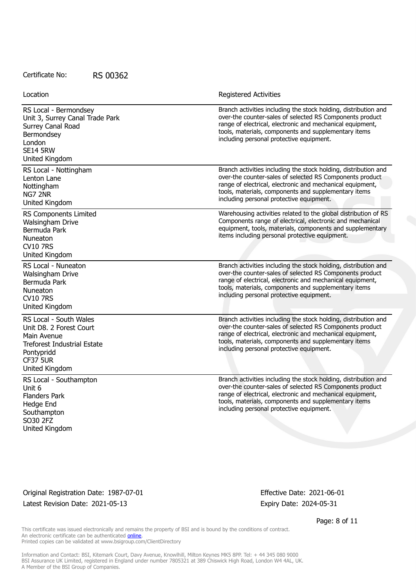| Location                                                                                                                                                  | <b>Registered Activities</b>                                                                                                                                                                                                                                                                 |
|-----------------------------------------------------------------------------------------------------------------------------------------------------------|----------------------------------------------------------------------------------------------------------------------------------------------------------------------------------------------------------------------------------------------------------------------------------------------|
| RS Local - Bermondsey<br>Unit 3, Surrey Canal Trade Park<br>Surrey Canal Road<br>Bermondsey<br>London<br><b>SE14 5RW</b><br>United Kingdom                | Branch activities including the stock holding, distribution and<br>over-the counter-sales of selected RS Components product<br>range of electrical, electronic and mechanical equipment,<br>tools, materials, components and supplementary items<br>including personal protective equipment. |
| RS Local - Nottingham<br>Lenton Lane<br>Nottingham<br>NG7 2NR<br>United Kingdom                                                                           | Branch activities including the stock holding, distribution and<br>over-the counter-sales of selected RS Components product<br>range of electrical, electronic and mechanical equipment,<br>tools, materials, components and supplementary items<br>including personal protective equipment. |
| RS Components Limited<br>Walsingham Drive<br>Bermuda Park<br>Nuneaton<br><b>CV10 7RS</b><br>United Kingdom                                                | Warehousing activities related to the global distribution of RS<br>Components range of electrical, electronic and mechanical<br>equipment, tools, materials, components and supplementary<br>items including personal protective equipment.                                                  |
| RS Local - Nuneaton<br><b>Walsingham Drive</b><br>Bermuda Park<br>Nuneaton<br><b>CV10 7RS</b><br>United Kingdom                                           | Branch activities including the stock holding, distribution and<br>over-the counter-sales of selected RS Components product<br>range of electrical, electronic and mechanical equipment,<br>tools, materials, components and supplementary items<br>including personal protective equipment. |
| RS Local - South Wales<br>Unit D8. 2 Forest Court<br>Main Avenue<br><b>Treforest Industrial Estate</b><br>Pontypridd<br><b>CF37 5UR</b><br>United Kingdom | Branch activities including the stock holding, distribution and<br>over-the counter-sales of selected RS Components product<br>range of electrical, electronic and mechanical equipment,<br>tools, materials, components and supplementary items<br>including personal protective equipment. |
| RS Local - Southampton<br>Unit 6<br><b>Flanders Park</b><br>Hedge End<br>Southampton<br>SO30 2FZ<br>United Kingdom                                        | Branch activities including the stock holding, distribution and<br>over-the counter-sales of selected RS Components product<br>range of electrical, electronic and mechanical equipment,<br>tools, materials, components and supplementary items<br>including personal protective equipment. |

Original Registration Date: 1987-07-01 Effective Date: 2021-06-01 Latest Revision Date: 2021-05-13 Expiry Date: 2024-05-31

Page: 8 of 11

This certificate was issued electronically and remains the property of BSI and is bound by the conditions of contract. An electronic certificate can be authenticated **[online](https://pgplus.bsigroup.com/CertificateValidation/CertificateValidator.aspx?CertificateNumber=RS+00362&ReIssueDate=13%2f05%2f2021&Template=uk)**. Printed copies can be validated at www.bsigroup.com/ClientDirectory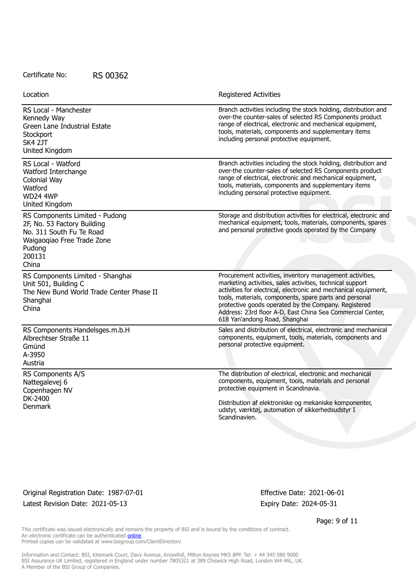| Location                                                                                                                                             | <b>Registered Activities</b>                                                                                                                                                                                                                                                                                                                                                                              |
|------------------------------------------------------------------------------------------------------------------------------------------------------|-----------------------------------------------------------------------------------------------------------------------------------------------------------------------------------------------------------------------------------------------------------------------------------------------------------------------------------------------------------------------------------------------------------|
| RS Local - Manchester<br>Kennedy Way<br>Green Lane Industrial Estate<br>Stockport<br>SK4 2JT<br>United Kingdom                                       | Branch activities including the stock holding, distribution and<br>over-the counter-sales of selected RS Components product<br>range of electrical, electronic and mechanical equipment,<br>tools, materials, components and supplementary items<br>including personal protective equipment.                                                                                                              |
| RS Local - Watford<br>Watford Interchange<br>Colonial Way<br>Watford<br><b>WD24 4WP</b><br>United Kingdom                                            | Branch activities including the stock holding, distribution and<br>over-the counter-sales of selected RS Components product<br>range of electrical, electronic and mechanical equipment,<br>tools, materials, components and supplementary items<br>including personal protective equipment.                                                                                                              |
| RS Components Limited - Pudong<br>2F, No. 53 Factory Building<br>No. 311 South Fu Te Road<br>Waigaogiao Free Trade Zone<br>Pudong<br>200131<br>China | Storage and distribution activities for electrical, electronic and<br>mechanical equipment, tools, materials, components, spares<br>and personal protective goods operated by the Company                                                                                                                                                                                                                 |
| RS Components Limited - Shanghai<br>Unit 501, Building C<br>The New Bund World Trade Center Phase II<br>Shanghai<br>China                            | Procurement activities, inventory management activities,<br>marketing activities, sales activities, technical support<br>activities for electrical, electronic and mechanical equipment,<br>tools, materials, components, spare parts and personal<br>protective goods operated by the Company. Registered<br>Address: 23rd floor A-D, East China Sea Commercial Center,<br>618 Yan'andong Road, Shanghai |
| RS Components Handelsges.m.b.H<br>Albrechtser Straße 11<br>Gmünd<br>A-3950<br>Austria                                                                | Sales and distribution of electrical, electronic and mechanical<br>components, equipment, tools, materials, components and<br>personal protective equipment.                                                                                                                                                                                                                                              |
| RS Components A/S<br>Nattegalevej 6<br>Copenhagen NV<br>DK-2400<br>Denmark                                                                           | The distribution of electrical, electronic and mechanical<br>components, equipment, tools, materials and personal<br>protective equipment in Scandinavia.<br>Distribution af elektroniske og mekaniske komponenter,<br>udstyr, værktøj, automation of sikkerhedsudstyr I<br>Scandinavien.                                                                                                                 |

Original Registration Date: 1987-07-01 Effective Date: 2021-06-01 Latest Revision Date: 2021-05-13 Expiry Date: 2024-05-31

Page: 9 of 11

This certificate was issued electronically and remains the property of BSI and is bound by the conditions of contract. An electronic certificate can be authenticated **[online](https://pgplus.bsigroup.com/CertificateValidation/CertificateValidator.aspx?CertificateNumber=RS+00362&ReIssueDate=13%2f05%2f2021&Template=uk)**. Printed copies can be validated at www.bsigroup.com/ClientDirectory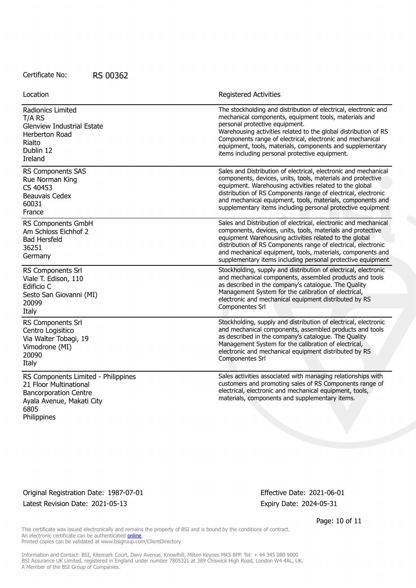Location **Exercise 2018 Registered Activities** 

| Radionics Limited                                                                                                                                 | The stockholding and distribution of electrical, electronic and                                                                                                                                                                                                                                                                                                                        |
|---------------------------------------------------------------------------------------------------------------------------------------------------|----------------------------------------------------------------------------------------------------------------------------------------------------------------------------------------------------------------------------------------------------------------------------------------------------------------------------------------------------------------------------------------|
| T/A RS                                                                                                                                            | mechanical components, equipment tools, materials and                                                                                                                                                                                                                                                                                                                                  |
| <b>Glenview Industrial Estate</b>                                                                                                                 | personal protective equipment.                                                                                                                                                                                                                                                                                                                                                         |
| Herberton Road                                                                                                                                    | Warehousing activities related to the global distribution of RS                                                                                                                                                                                                                                                                                                                        |
| Rialto                                                                                                                                            | Components range of electrical, electronic and mechanical                                                                                                                                                                                                                                                                                                                              |
| Dublin 12                                                                                                                                         | equipment, tools, materials, components and supplementary                                                                                                                                                                                                                                                                                                                              |
| <b>Ireland</b>                                                                                                                                    | items including personal protective equipment.                                                                                                                                                                                                                                                                                                                                         |
| RS Components SAS                                                                                                                                 | Sales and Distribution of electrical, electronic and mechanical                                                                                                                                                                                                                                                                                                                        |
| Rue Norman King                                                                                                                                   | components, devices, units, tools, materials and protective                                                                                                                                                                                                                                                                                                                            |
| CS 40453                                                                                                                                          | equipment. Warehousing activities related to the global                                                                                                                                                                                                                                                                                                                                |
| Beauvais Cedex                                                                                                                                    | distribution of RS Components range of electrical, electronic                                                                                                                                                                                                                                                                                                                          |
| 60031                                                                                                                                             | and mechanical equipment, tools, materials, components and                                                                                                                                                                                                                                                                                                                             |
| France                                                                                                                                            | supplementary items including personal protective equipment                                                                                                                                                                                                                                                                                                                            |
| RS Components GmbH<br>Am Schloss Eichhof 2<br><b>Bad Hersfeld</b><br>36251<br>Germany                                                             | Sales and Distribution of electrical, electronic and mechanical<br>components, devices, units, tools, materials and protective<br>equipment Warehousing activities related to the global<br>distribution of RS Components range of electrical, electronic<br>and mechanical equipment, tools, materials, components and<br>supplementary items including personal protective equipment |
| RS Components Srl                                                                                                                                 | Stockholding, supply and distribution of electrical, electronic                                                                                                                                                                                                                                                                                                                        |
| Viale T. Edison, 110                                                                                                                              | and mechanical components, assembled products and tools                                                                                                                                                                                                                                                                                                                                |
| Edificio C                                                                                                                                        | as described in the company's catalogue. The Quality                                                                                                                                                                                                                                                                                                                                   |
| Sesto San Giovanni (MI)                                                                                                                           | Management System for the calibration of electrical,                                                                                                                                                                                                                                                                                                                                   |
| 20099                                                                                                                                             | electronic and mechanical equipment distributed by RS                                                                                                                                                                                                                                                                                                                                  |
| Italy                                                                                                                                             | Componentes Srl                                                                                                                                                                                                                                                                                                                                                                        |
| RS Components Srl                                                                                                                                 | Stockholding, supply and distribution of electrical, electronic                                                                                                                                                                                                                                                                                                                        |
| Centro Logisitico                                                                                                                                 | and mechanical components, assembled products and tools                                                                                                                                                                                                                                                                                                                                |
| Via Walter Tobagi, 19                                                                                                                             | as described in the company's catalogue. The Quality                                                                                                                                                                                                                                                                                                                                   |
| Vimodrone (MI)                                                                                                                                    | Management System for the calibration of electrical,                                                                                                                                                                                                                                                                                                                                   |
| 20090                                                                                                                                             | electronic and mechanical equipment distributed by RS                                                                                                                                                                                                                                                                                                                                  |
| Italy                                                                                                                                             | Componentes Srl                                                                                                                                                                                                                                                                                                                                                                        |
| RS Components Limited - Philippines<br>21 Floor Multinational<br><b>Bancorporation Centre</b><br>Ayala Avenue, Makati City<br>6805<br>Philippines | Sales activities associated with managing relationships with<br>customers and promoting sales of RS Components range of<br>electrical, electronic and mechanical equipment, tools,<br>materials, components and supplementary items.                                                                                                                                                   |

Original Registration Date: 1987-07-01 Effective Date: 2021-06-01 Latest Revision Date: 2021-05-13 Expiry Date: 2024-05-31

Page: 10 of 11

This certificate was issued electronically and remains the property of BSI and is bound by the conditions of contract. An electronic certificate can be authenticated **[online](https://pgplus.bsigroup.com/CertificateValidation/CertificateValidator.aspx?CertificateNumber=RS+00362&ReIssueDate=13%2f05%2f2021&Template=uk)**. Printed copies can be validated at www.bsigroup.com/ClientDirectory